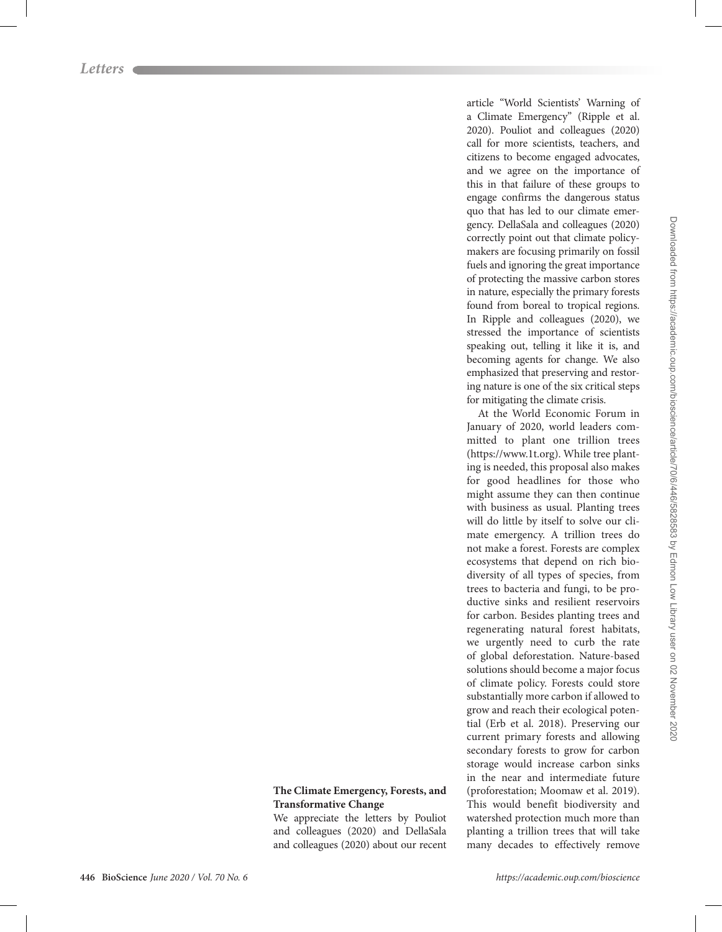article "World Scientists' Warning of a Climate Emergency" (Ripple et al. 2020). Pouliot and colleagues (2020) call for more scientists, teachers, and citizens to become engaged advocates, and we agree on the importance of this in that failure of these groups to engage confirms the dangerous status quo that has led to our climate emergency. DellaSala and colleagues (2020) correctly point out that climate policymakers are focusing primarily on fossil fuels and ignoring the great importance of protecting the massive carbon stores in nature, especially the primary forests found from boreal to tropical regions. In Ripple and colleagues (2020), we stressed the importance of scientists speaking out, telling it like it is, and becoming agents for change. We also emphasized that preserving and restoring nature is one of the six critical steps for mitigating the climate crisis.

At the World Economic Forum in January of 2020, world leaders committed to plant one trillion trees (https://www.1t.org). While tree planting is needed, this proposal also makes for good headlines for those who might assume they can then continue with business as usual. Planting trees will do little by itself to solve our climate emergency. A trillion trees do not make a forest. Forests are complex ecosystems that depend on rich biodiversity of all types of species, from trees to bacteria and fungi, to be productive sinks and resilient reservoirs for carbon. Besides planting trees and regenerating natural forest habitats, we urgently need to curb the rate of global deforestation. Nature-based solutions should become a major focus of climate policy. Forests could store substantially more carbon if allowed to grow and reach their ecological potential (Erb et al. 2018). Preserving our current primary forests and allowing secondary forests to grow for carbon storage would increase carbon sinks in the near and intermediate future (proforestation; Moomaw et al. 2019). This would benefit biodiversity and watershed protection much more than planting a trillion trees that will take many decades to effectively remove

## **The Climate Emergency, Forests, and Transformative Change**

We appreciate the letters by Pouliot and colleagues (2020) and DellaSala and colleagues (2020) about our recent